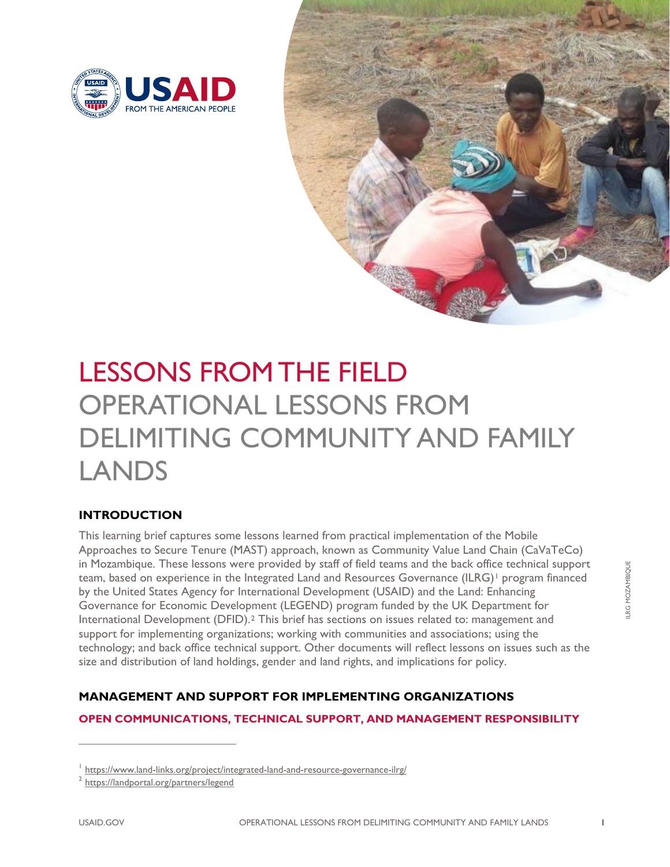



# LESSONS FROM THE FIELD OPERATIONAL LESSONS FROM DELIMITING COMMUNITY AND FAMILY LANDS

# **INTRODUCTION**

This learning brief captures some lessons learned from practical implementation of the Mobile Approaches to Secure Tenure (MAST) approach, known as Community Value Land Chain (CaVaTeCo) in Mozambique. These lessons were provided by staff of field teams and the back office technical support team, based on experience in the Integrated Land and Resources Governance (ILRG)<sup>[1](#page-0-0)</sup> program financed by the United States Agency for International Development (USAID) and the Land: Enhancing Governance for Economic Development (LEGEND) program funded by the UK Department for International Development (DFID).[2](#page-0-1) This brief has sections on issues related to: management and support for implementing organizations; working with communities and associations; using the technology; and back office technical support. Other documents will reflect lessons on issues such as the size and distribution of land holdings, gender and land rights, and implications for policy.

# **MANAGEMENT AND SUPPORT FOR IMPLEMENTING ORGANIZATIONS**

#### **OPEN COMMUNICATIONS, TECHNICAL SUPPORT, AND MANAGEMENT RESPONSIBILITY**

<span id="page-0-0"></span><sup>&</sup>lt;sup>1</sup> <https://www.land-links.org/project/integrated-land-and-resource-governance-ilrg/>

<span id="page-0-1"></span><sup>2</sup> <https://landportal.org/partners/legend>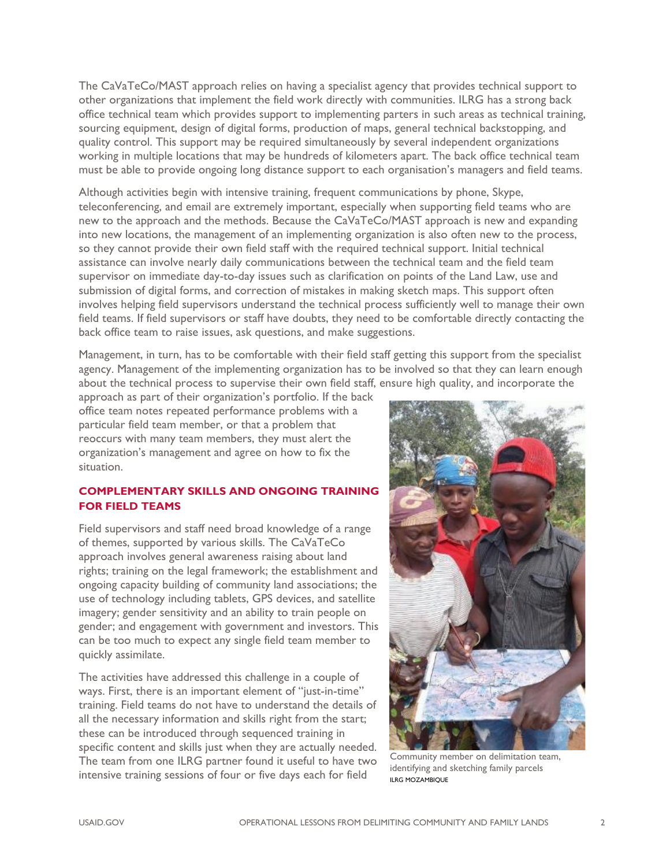The CaVaTeCo/MAST approach relies on having a specialist agency that provides technical support to other organizations that implement the field work directly with communities. ILRG has a strong back office technical team which provides support to implementing parters in such areas as technical training, sourcing equipment, design of digital forms, production of maps, general technical backstopping, and quality control. This support may be required simultaneously by several independent organizations working in multiple locations that may be hundreds of kilometers apart. The back office technical team must be able to provide ongoing long distance support to each organisation's managers and field teams.

Although activities begin with intensive training, frequent communications by phone, Skype, teleconferencing, and email are extremely important, especially when supporting field teams who are new to the approach and the methods. Because the CaVaTeCo/MAST approach is new and expanding into new locations, the management of an implementing organization is also often new to the process, so they cannot provide their own field staff with the required technical support. Initial technical assistance can involve nearly daily communications between the technical team and the field team supervisor on immediate day-to-day issues such as clarification on points of the Land Law, use and submission of digital forms, and correction of mistakes in making sketch maps. This support often involves helping field supervisors understand the technical process sufficiently well to manage their own field teams. If field supervisors or staff have doubts, they need to be comfortable directly contacting the back office team to raise issues, ask questions, and make suggestions.

Management, in turn, has to be comfortable with their field staff getting this support from the specialist agency. Management of the implementing organization has to be involved so that they can learn enough about the technical process to supervise their own field staff, ensure high quality, and incorporate the

approach as part of their organization's portfolio. If the back office team notes repeated performance problems with a particular field team member, or that a problem that reoccurs with many team members, they must alert the organization's management and agree on how to fix the situation.

## **COMPLEMENTARY SKILLS AND ONGOING TRAINING FOR FIELD TEAMS**

Field supervisors and staff need broad knowledge of a range of themes, supported by various skills. The CaVaTeCo approach involves general awareness raising about land rights; training on the legal framework; the establishment and ongoing capacity building of community land associations; the use of technology including tablets, GPS devices, and satellite imagery; gender sensitivity and an ability to train people on gender; and engagement with government and investors. This can be too much to expect any single field team member to quickly assimilate.

The activities have addressed this challenge in a couple of ways. First, there is an important element of "just-in-time" training. Field teams do not have to understand the details of all the necessary information and skills right from the start; these can be introduced through sequenced training in specific content and skills just when they are actually needed. The team from one ILRG partner found it useful to have two intensive training sessions of four or five days each for field



Community member on delimitation team, identifying and sketching family parcels ILRG MOZAMBIQUE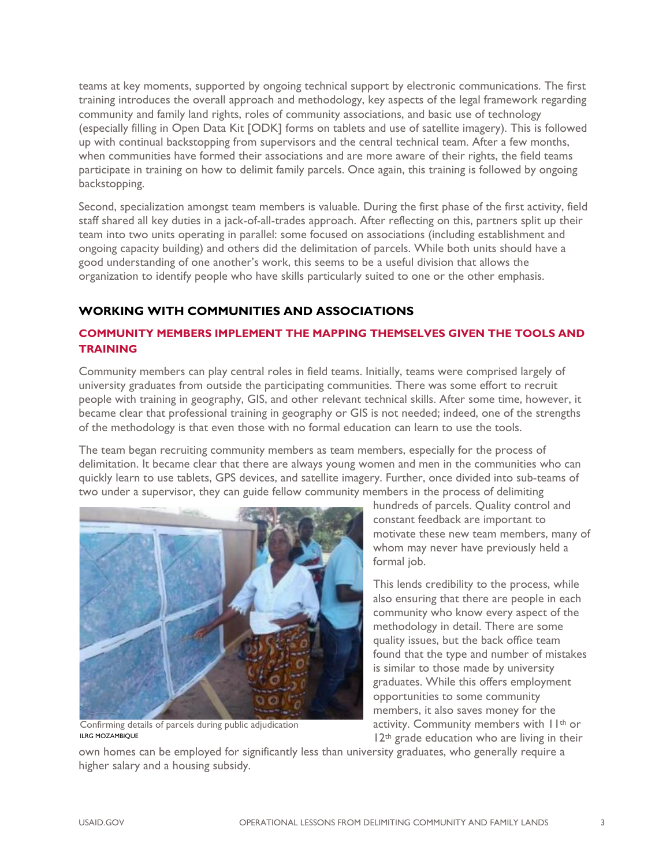teams at key moments, supported by ongoing technical support by electronic communications. The first training introduces the overall approach and methodology, key aspects of the legal framework regarding community and family land rights, roles of community associations, and basic use of technology (especially filling in Open Data Kit [ODK] forms on tablets and use of satellite imagery). This is followed up with continual backstopping from supervisors and the central technical team. After a few months, when communities have formed their associations and are more aware of their rights, the field teams participate in training on how to delimit family parcels. Once again, this training is followed by ongoing backstopping.

Second, specialization amongst team members is valuable. During the first phase of the first activity, field staff shared all key duties in a jack-of-all-trades approach. After reflecting on this, partners split up their team into two units operating in parallel: some focused on associations (including establishment and ongoing capacity building) and others did the delimitation of parcels. While both units should have a good understanding of one another's work, this seems to be a useful division that allows the organization to identify people who have skills particularly suited to one or the other emphasis.

# **WORKING WITH COMMUNITIES AND ASSOCIATIONS**

# **COMMUNITY MEMBERS IMPLEMENT THE MAPPING THEMSELVES GIVEN THE TOOLS AND TRAINING**

Community members can play central roles in field teams. Initially, teams were comprised largely of university graduates from outside the participating communities. There was some effort to recruit people with training in geography, GIS, and other relevant technical skills. After some time, however, it became clear that professional training in geography or GIS is not needed; indeed, one of the strengths of the methodology is that even those with no formal education can learn to use the tools.

The team began recruiting community members as team members, especially for the process of delimitation. It became clear that there are always young women and men in the communities who can quickly learn to use tablets, GPS devices, and satellite imagery. Further, once divided into sub-teams of two under a supervisor, they can guide fellow community members in the process of delimiting



Confirming details of parcels during public adjudication ILRG MOZAMBIQUE

hundreds of parcels. Quality control and constant feedback are important to motivate these new team members, many of whom may never have previously held a formal job.

This lends credibility to the process, while also ensuring that there are people in each community who know every aspect of the methodology in detail. There are some quality issues, but the back office team found that the type and number of mistakes is similar to those made by university graduates. While this offers employment opportunities to some community members, it also saves money for the activity. Community members with 11th or 12<sup>th</sup> grade education who are living in their

own homes can be employed for significantly less than university graduates, who generally require a higher salary and a housing subsidy.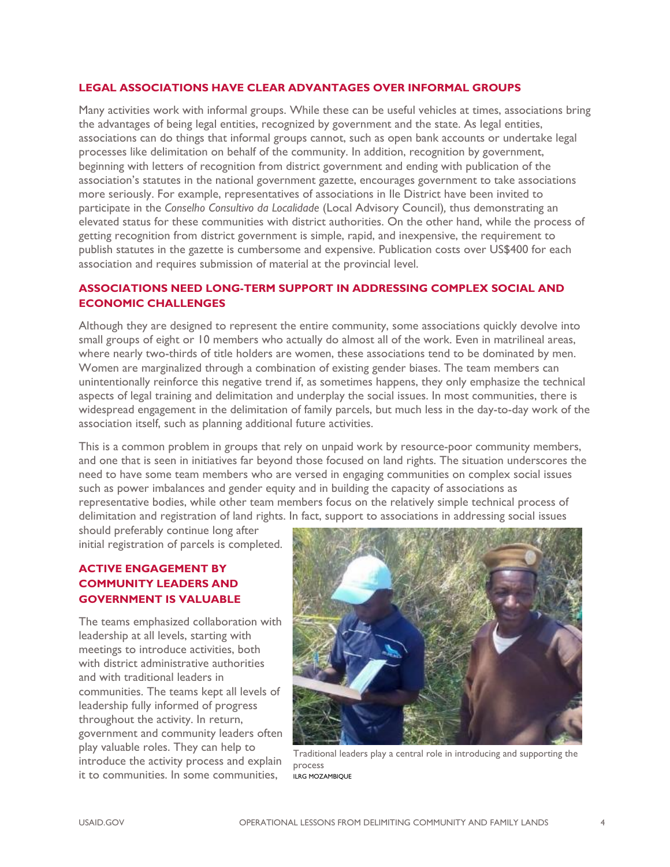#### **LEGAL ASSOCIATIONS HAVE CLEAR ADVANTAGES OVER INFORMAL GROUPS**

Many activities work with informal groups. While these can be useful vehicles at times, associations bring the advantages of being legal entities, recognized by government and the state. As legal entities, associations can do things that informal groups cannot, such as open bank accounts or undertake legal processes like delimitation on behalf of the community. In addition, recognition by government, beginning with letters of recognition from district government and ending with publication of the association's statutes in the national government gazette, encourages government to take associations more seriously. For example, representatives of associations in Ile District have been invited to participate in the *Conselho Consultivo da Localidade* (Local Advisory Council)*,* thus demonstrating an elevated status for these communities with district authorities. On the other hand, while the process of getting recognition from district government is simple, rapid, and inexpensive, the requirement to publish statutes in the gazette is cumbersome and expensive. Publication costs over US\$400 for each association and requires submission of material at the provincial level.

## **ASSOCIATIONS NEED LONG-TERM SUPPORT IN ADDRESSING COMPLEX SOCIAL AND ECONOMIC CHALLENGES**

Although they are designed to represent the entire community, some associations quickly devolve into small groups of eight or 10 members who actually do almost all of the work. Even in matrilineal areas, where nearly two-thirds of title holders are women, these associations tend to be dominated by men. Women are marginalized through a combination of existing gender biases. The team members can unintentionally reinforce this negative trend if, as sometimes happens, they only emphasize the technical aspects of legal training and delimitation and underplay the social issues. In most communities, there is widespread engagement in the delimitation of family parcels, but much less in the day-to-day work of the association itself, such as planning additional future activities.

This is a common problem in groups that rely on unpaid work by resource-poor community members, and one that is seen in initiatives far beyond those focused on land rights. The situation underscores the need to have some team members who are versed in engaging communities on complex social issues such as power imbalances and gender equity and in building the capacity of associations as representative bodies, while other team members focus on the relatively simple technical process of delimitation and registration of land rights. In fact, support to associations in addressing social issues

should preferably continue long after initial registration of parcels is completed.

# **ACTIVE ENGAGEMENT BY COMMUNITY LEADERS AND GOVERNMENT IS VALUABLE**

The teams emphasized collaboration with leadership at all levels, starting with meetings to introduce activities, both with district administrative authorities and with traditional leaders in communities. The teams kept all levels of leadership fully informed of progress throughout the activity. In return, government and community leaders often play valuable roles. They can help to introduce the activity process and explain it to communities. In some communities,



Traditional leaders play a central role in introducing and supporting the process ILRG MOZAMBIQUE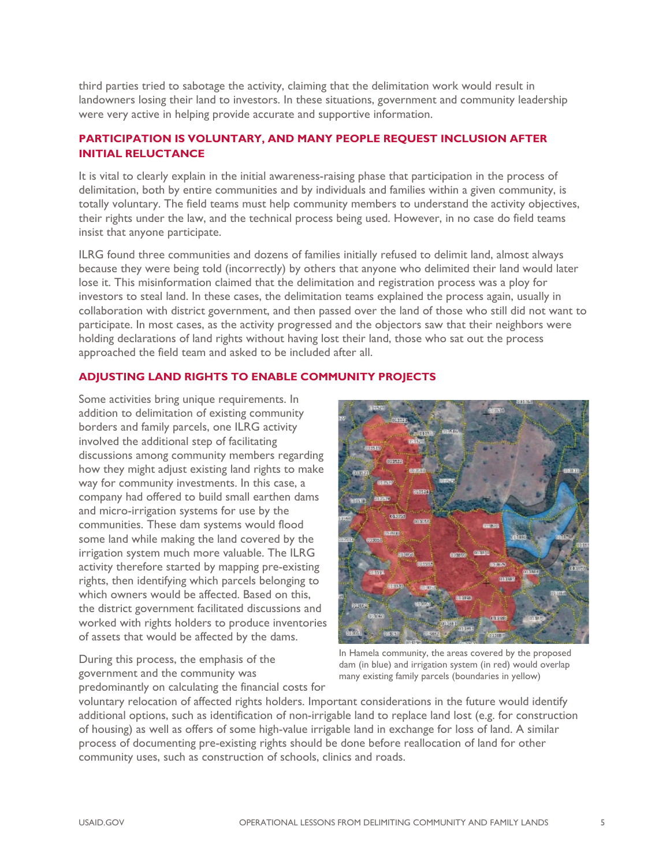third parties tried to sabotage the activity, claiming that the delimitation work would result in landowners losing their land to investors. In these situations, government and community leadership were very active in helping provide accurate and supportive information.

# **PARTICIPATION IS VOLUNTARY, AND MANY PEOPLE REQUEST INCLUSION AFTER INITIAL RELUCTANCE**

It is vital to clearly explain in the initial awareness-raising phase that participation in the process of delimitation, both by entire communities and by individuals and families within a given community, is totally voluntary. The field teams must help community members to understand the activity objectives, their rights under the law, and the technical process being used. However, in no case do field teams insist that anyone participate.

ILRG found three communities and dozens of families initially refused to delimit land, almost always because they were being told (incorrectly) by others that anyone who delimited their land would later lose it. This misinformation claimed that the delimitation and registration process was a ploy for investors to steal land. In these cases, the delimitation teams explained the process again, usually in collaboration with district government, and then passed over the land of those who still did not want to participate. In most cases, as the activity progressed and the objectors saw that their neighbors were holding declarations of land rights without having lost their land, those who sat out the process approached the field team and asked to be included after all.

#### **ADJUSTING LAND RIGHTS TO ENABLE COMMUNITY PROJECTS**

Some activities bring unique requirements. In addition to delimitation of existing community borders and family parcels, one ILRG activity involved the additional step of facilitating discussions among community members regarding how they might adjust existing land rights to make way for community investments. In this case, a company had offered to build small earthen dams and micro-irrigation systems for use by the communities. These dam systems would flood some land while making the land covered by the irrigation system much more valuable. The ILRG activity therefore started by mapping pre-existing rights, then identifying which parcels belonging to which owners would be affected. Based on this, the district government facilitated discussions and worked with rights holders to produce inventories of assets that would be affected by the dams.

**Distance** 00132

During this process, the emphasis of the government and the community was predominantly on calculating the financial costs for

In Hamela community, the areas covered by the proposed dam (in blue) and irrigation system (in red) would overlap many existing family parcels (boundaries in yellow)

voluntary relocation of affected rights holders. Important considerations in the future would identify additional options, such as identification of non-irrigable land to replace land lost (e.g. for construction of housing) as well as offers of some high-value irrigable land in exchange for loss of land. A similar process of documenting pre-existing rights should be done before reallocation of land for other community uses, such as construction of schools, clinics and roads.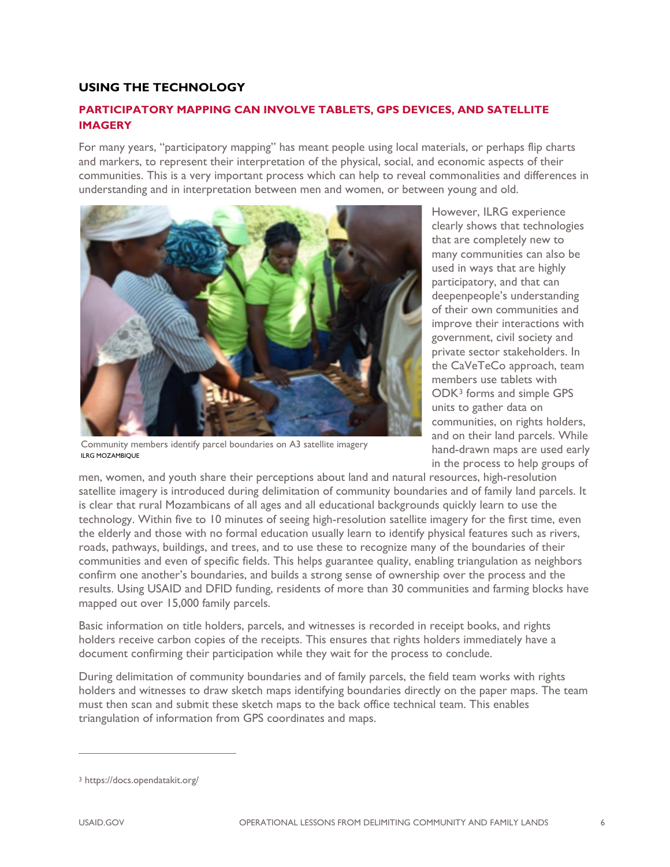# **USING THE TECHNOLOGY**

# **PARTICIPATORY MAPPING CAN INVOLVE TABLETS, GPS DEVICES, AND SATELLITE IMAGERY**

For many years, "participatory mapping" has meant people using local materials, or perhaps flip charts and markers, to represent their interpretation of the physical, social, and economic aspects of their communities. This is a very important process which can help to reveal commonalities and differences in understanding and in interpretation between men and women, or between young and old.



Community members identify parcel boundaries on A3 satellite imagery ILRG MOZAMBIOLIF

However, ILRG experience clearly shows that technologies that are completely new to many communities can also be used in ways that are highly participatory, and that can deepenpeople's understanding of their own communities and improve their interactions with government, civil society and private sector stakeholders. In the CaVeTeCo approach, team members use tablets with ODK[3](#page-5-0) forms and simple GPS units to gather data on communities, on rights holders, and on their land parcels. While hand-drawn maps are used early in the process to help groups of

men, women, and youth share their perceptions about land and natural resources, high-resolution satellite imagery is introduced during delimitation of community boundaries and of family land parcels. It is clear that rural Mozambicans of all ages and all educational backgrounds quickly learn to use the technology. Within five to 10 minutes of seeing high-resolution satellite imagery for the first time, even the elderly and those with no formal education usually learn to identify physical features such as rivers, roads, pathways, buildings, and trees, and to use these to recognize many of the boundaries of their communities and even of specific fields. This helps guarantee quality, enabling triangulation as neighbors confirm one another's boundaries, and builds a strong sense of ownership over the process and the results. Using USAID and DFID funding, residents of more than 30 communities and farming blocks have mapped out over 15,000 family parcels.

Basic information on title holders, parcels, and witnesses is recorded in receipt books, and rights holders receive carbon copies of the receipts. This ensures that rights holders immediately have a document confirming their participation while they wait for the process to conclude.

During delimitation of community boundaries and of family parcels, the field team works with rights holders and witnesses to draw sketch maps identifying boundaries directly on the paper maps. The team must then scan and submit these sketch maps to the back office technical team. This enables triangulation of information from GPS coordinates and maps.

<span id="page-5-0"></span><sup>3</sup> https://docs.opendatakit.org/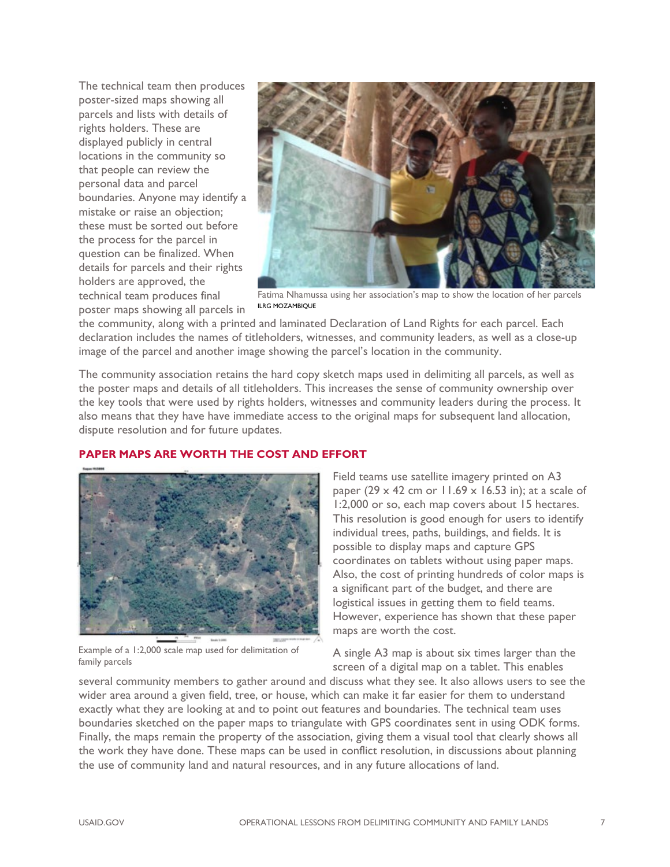The technical team then produces poster-sized maps showing all parcels and lists with details of rights holders. These are displayed publicly in central locations in the community so that people can review the personal data and parcel boundaries. Anyone may identify a mistake or raise an objection; these must be sorted out before the process for the parcel in question can be finalized. When details for parcels and their rights holders are approved, the technical team produces final poster maps showing all parcels in



Fatima Nhamussa using her association's map to show the location of her parcels ILRG MOZAMBIQUE

the community, along with a printed and laminated Declaration of Land Rights for each parcel. Each declaration includes the names of titleholders, witnesses, and community leaders, as well as a close-up image of the parcel and another image showing the parcel's location in the community.

The community association retains the hard copy sketch maps used in delimiting all parcels, as well as the poster maps and details of all titleholders. This increases the sense of community ownership over the key tools that were used by rights holders, witnesses and community leaders during the process. It also means that they have have immediate access to the original maps for subsequent land allocation, dispute resolution and for future updates.



#### **PAPER MAPS ARE WORTH THE COST AND EFFORT**

Example of a 1:2,000 scale map used for delimitation of family parcels

Field teams use satellite imagery printed on A3 paper (29  $\times$  42 cm or 11.69  $\times$  16.53 in); at a scale of 1:2,000 or so, each map covers about 15 hectares. This resolution is good enough for users to identify individual trees, paths, buildings, and fields. It is possible to display maps and capture GPS coordinates on tablets without using paper maps. Also, the cost of printing hundreds of color maps is a significant part of the budget, and there are logistical issues in getting them to field teams. However, experience has shown that these paper maps are worth the cost.

A single A3 map is about six times larger than the screen of a digital map on a tablet. This enables

several community members to gather around and discuss what they see. It also allows users to see the wider area around a given field, tree, or house, which can make it far easier for them to understand exactly what they are looking at and to point out features and boundaries. The technical team uses boundaries sketched on the paper maps to triangulate with GPS coordinates sent in using ODK forms. Finally, the maps remain the property of the association, giving them a visual tool that clearly shows all the work they have done. These maps can be used in conflict resolution, in discussions about planning the use of community land and natural resources, and in any future allocations of land.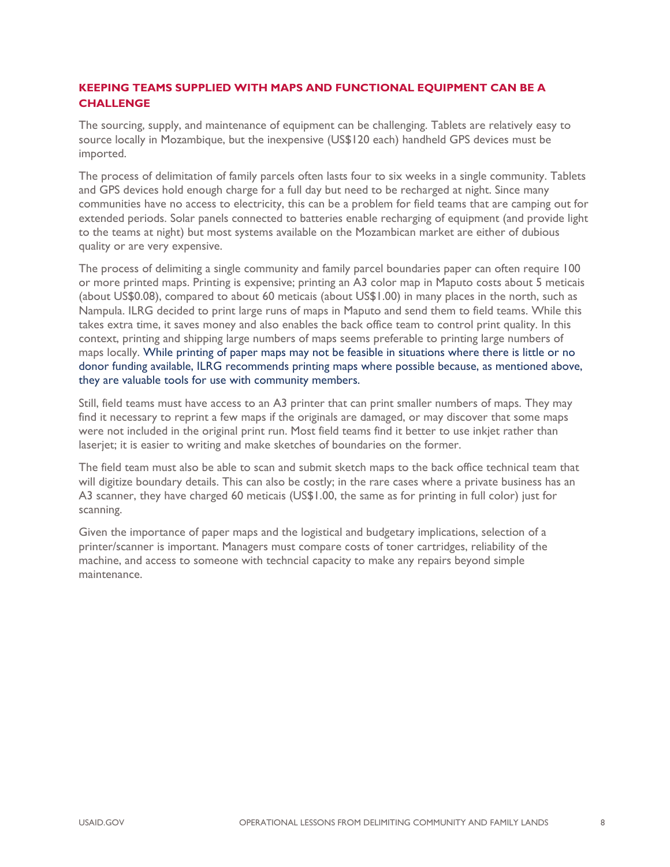## **KEEPING TEAMS SUPPLIED WITH MAPS AND FUNCTIONAL EQUIPMENT CAN BE A CHALLENGE**

The sourcing, supply, and maintenance of equipment can be challenging. Tablets are relatively easy to source locally in Mozambique, but the inexpensive (US\$120 each) handheld GPS devices must be imported.

The process of delimitation of family parcels often lasts four to six weeks in a single community. Tablets and GPS devices hold enough charge for a full day but need to be recharged at night. Since many communities have no access to electricity, this can be a problem for field teams that are camping out for extended periods. Solar panels connected to batteries enable recharging of equipment (and provide light to the teams at night) but most systems available on the Mozambican market are either of dubious quality or are very expensive.

The process of delimiting a single community and family parcel boundaries paper can often require 100 or more printed maps. Printing is expensive; printing an A3 color map in Maputo costs about 5 meticais (about US\$0.08), compared to about 60 meticais (about US\$1.00) in many places in the north, such as Nampula. ILRG decided to print large runs of maps in Maputo and send them to field teams. While this takes extra time, it saves money and also enables the back office team to control print quality. In this context, printing and shipping large numbers of maps seems preferable to printing large numbers of maps locally. While printing of paper maps may not be feasible in situations where there is little or no donor funding available, ILRG recommends printing maps where possible because, as mentioned above, they are valuable tools for use with community members.

Still, field teams must have access to an A3 printer that can print smaller numbers of maps. They may find it necessary to reprint a few maps if the originals are damaged, or may discover that some maps were not included in the original print run. Most field teams find it better to use inkjet rather than laserjet; it is easier to writing and make sketches of boundaries on the former.

The field team must also be able to scan and submit sketch maps to the back office technical team that will digitize boundary details. This can also be costly; in the rare cases where a private business has an A3 scanner, they have charged 60 meticais (US\$1.00, the same as for printing in full color) just for scanning.

Given the importance of paper maps and the logistical and budgetary implications, selection of a printer/scanner is important. Managers must compare costs of toner cartridges, reliability of the machine, and access to someone with techncial capacity to make any repairs beyond simple maintenance.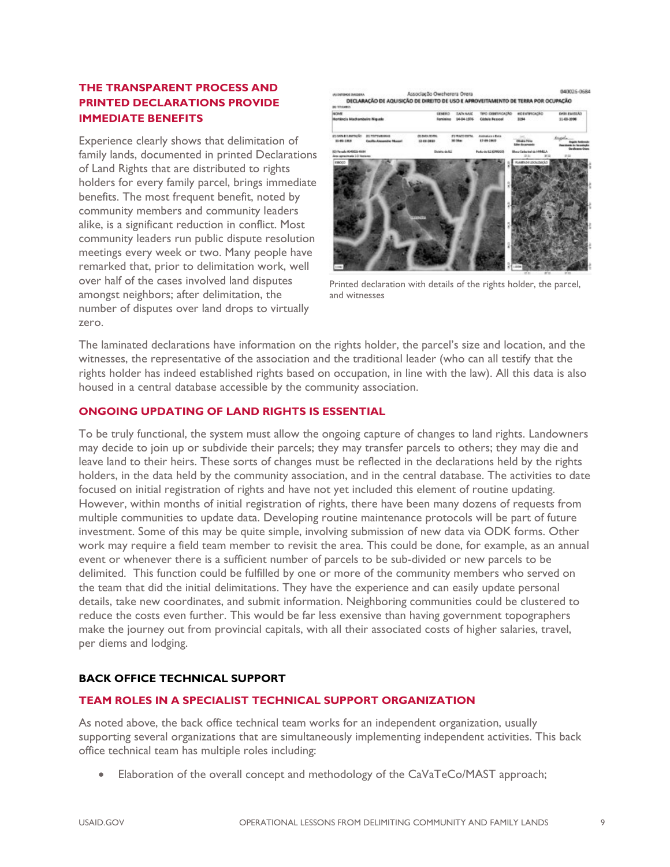## **THE TRANSPARENT PROCESS AND PRINTED DECLARATIONS PROVIDE IMMEDIATE BENEFITS**

Experience clearly shows that delimitation of family lands, documented in printed Declarations of Land Rights that are distributed to rights holders for every family parcel, brings immediate benefits. The most frequent benefit, noted by community members and community leaders alike, is a significant reduction in conflict. Most community leaders run public dispute resolution meetings every week or two. Many people have remarked that, prior to delimitation work, well over half of the cases involved land disputes amongst neighbors; after delimitation, the number of disputes over land drops to virtually zero.

040006-0684 Associação Oweherera Orera DECLARAÇÃO DE AQUISIÇÃO DE DIREITO DE USO E APROVEITAMENTO DE TERRA POR OCUPAÇÃO



Printed declaration with details of the rights holder, the parcel, and witnesses

The laminated declarations have information on the rights holder, the parcel's size and location, and the witnesses, the representative of the association and the traditional leader (who can all testify that the rights holder has indeed established rights based on occupation, in line with the law). All this data is also housed in a central database accessible by the community association.

#### **ONGOING UPDATING OF LAND RIGHTS IS ESSENTIAL**

To be truly functional, the system must allow the ongoing capture of changes to land rights. Landowners may decide to join up or subdivide their parcels; they may transfer parcels to others; they may die and leave land to their heirs. These sorts of changes must be reflected in the declarations held by the rights holders, in the data held by the community association, and in the central database. The activities to date focused on initial registration of rights and have not yet included this element of routine updating. However, within months of initial registration of rights, there have been many dozens of requests from multiple communities to update data. Developing routine maintenance protocols will be part of future investment. Some of this may be quite simple, involving submission of new data via ODK forms. Other work may require a field team member to revisit the area. This could be done, for example, as an annual event or whenever there is a sufficient number of parcels to be sub-divided or new parcels to be delimited. This function could be fulfilled by one or more of the community members who served on the team that did the initial delimitations. They have the experience and can easily update personal details, take new coordinates, and submit information. Neighboring communities could be clustered to reduce the costs even further. This would be far less exensive than having government topographers make the journey out from provincial capitals, with all their associated costs of higher salaries, travel, per diems and lodging.

#### **BACK OFFICE TECHNICAL SUPPORT**

#### **TEAM ROLES IN A SPECIALIST TECHNICAL SUPPORT ORGANIZATION**

As noted above, the back office technical team works for an independent organization, usually supporting several organizations that are simultaneously implementing independent activities. This back office technical team has multiple roles including:

• Elaboration of the overall concept and methodology of the CaVaTeCo/MAST approach;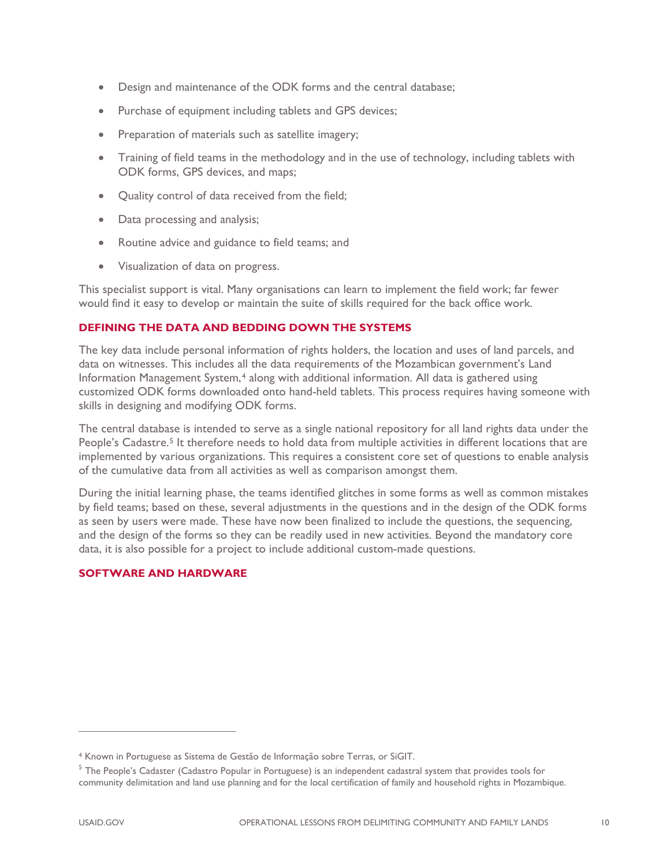- Design and maintenance of the ODK forms and the central database;
- Purchase of equipment including tablets and GPS devices;
- Preparation of materials such as satellite imagery;
- Training of field teams in the methodology and in the use of technology, including tablets with ODK forms, GPS devices, and maps;
- Quality control of data received from the field;
- Data processing and analysis;
- Routine advice and guidance to field teams; and
- Visualization of data on progress.

This specialist support is vital. Many organisations can learn to implement the field work; far fewer would find it easy to develop or maintain the suite of skills required for the back office work.

## **DEFINING THE DATA AND BEDDING DOWN THE SYSTEMS**

The key data include personal information of rights holders, the location and uses of land parcels, and data on witnesses. This includes all the data requirements of the Mozambican government's Land Information Management System,[4](#page-9-0) along with additional information. All data is gathered using customized ODK forms downloaded onto hand-held tablets. This process requires having someone with skills in designing and modifying ODK forms.

The central database is intended to serve as a single national repository for all land rights data under the People's Cadastre.<sup>[5](#page-9-1)</sup> It therefore needs to hold data from multiple activities in different locations that are implemented by various organizations. This requires a consistent core set of questions to enable analysis of the cumulative data from all activities as well as comparison amongst them.

During the initial learning phase, the teams identified glitches in some forms as well as common mistakes by field teams; based on these, several adjustments in the questions and in the design of the ODK forms as seen by users were made. These have now been finalized to include the questions, the sequencing, and the design of the forms so they can be readily used in new activities. Beyond the mandatory core data, it is also possible for a project to include additional custom-made questions.

# **SOFTWARE AND HARDWARE**

<span id="page-9-0"></span><sup>4</sup> Known in Portuguese as Sistema de Gestão de Informação sobre Terras, or SiGIT.

<span id="page-9-1"></span><sup>&</sup>lt;sup>5</sup> The People's Cadaster (Cadastro Popular in Portuguese) is an independent cadastral system that provides tools for community delimitation and land use planning and for the local certification of family and household rights in Mozambique.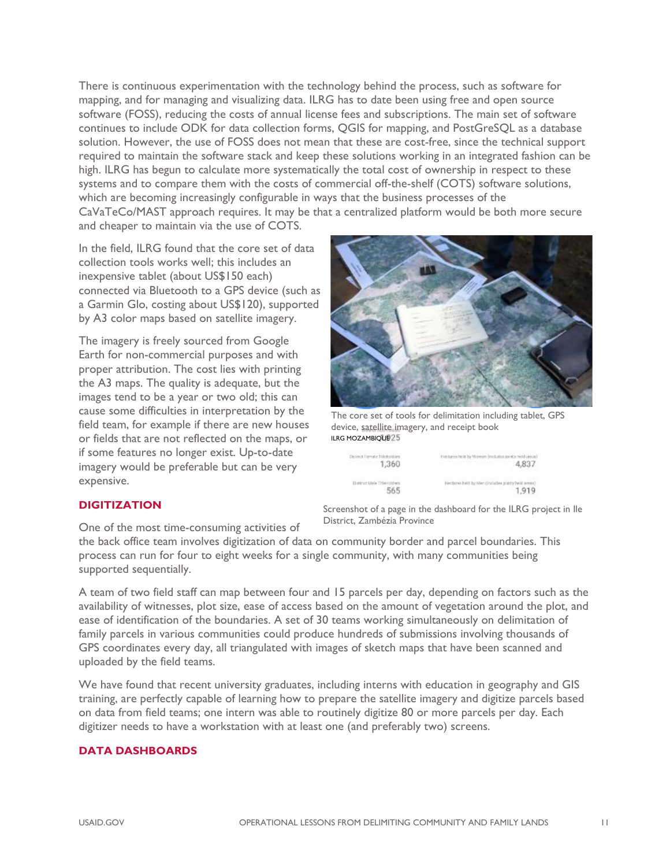There is continuous experimentation with the technology behind the process, such as software for mapping, and for managing and visualizing data. ILRG has to date been using free and open source software (FOSS), reducing the costs of annual license fees and subscriptions. The main set of software continues to include ODK for data collection forms, QGIS for mapping, and PostGreSQL as a database solution. However, the use of FOSS does not mean that these are cost-free, since the technical support required to maintain the software stack and keep these solutions working in an integrated fashion can be high. ILRG has begun to calculate more systematically the total cost of ownership in respect to these systems and to compare them with the costs of commercial off-the-shelf (COTS) software solutions, which are becoming increasingly configurable in ways that the business processes of the CaVaTeCo/MAST approach requires. It may be that a centralized platform would be both more secure and cheaper to maintain via the use of COTS.

In the field, ILRG found that the core set of data collection tools works well; this includes an inexpensive tablet (about US\$150 each) connected via Bluetooth to a GPS device (such as a Garmin Glo, costing about US\$120), supported by A3 color maps based on satellite imagery.

The imagery is freely sourced from Google Earth for non-commercial purposes and with proper attribution. The cost lies with printing the A3 maps. The quality is adequate, but the images tend to be a year or two old; this can cause some difficulties in interpretation by the field team, for example if there are new houses or fields that are not reflected on the maps, or if some features no longer exist. Up-to-date imagery would be preferable but can be very expensive.



The core set of tools for delimitation including tablet, GPS device, satellite imagery, and receipt book **ILRG MOZAMBIOUE 25** 

| Distinct Female Titlehold on | Nactores held by Woman (includes joint) itseld urean) |
|------------------------------|-------------------------------------------------------|
| 주인의 사업을 받았                   | 12 가격 가장 감사 소리가 있어요? 아이가                              |
| 1,360                        | 4.837                                                 |
| Distinct Male TitleVolders   | Hectores held by Men Oncludes Jointy held areas)      |
| 565                          | 1,919                                                 |

Screenshot of a page in the dashboard for the ILRG project in Ile

#### **DIGITIZATION**

One of the most time-consuming activities of District, Zambézia Province

the back office team involves digitization of data on community border and parcel boundaries. This process can run for four to eight weeks for a single community, with many communities being supported sequentially.

A team of two field staff can map between four and 15 parcels per day, depending on factors such as the availability of witnesses, plot size, ease of access based on the amount of vegetation around the plot, and ease of identification of the boundaries. A set of 30 teams working simultaneously on delimitation of family parcels in various communities could produce hundreds of submissions involving thousands of GPS coordinates every day, all triangulated with images of sketch maps that have been scanned and uploaded by the field teams.

We have found that recent university graduates, including interns with education in geography and GIS training, are perfectly capable of learning how to prepare the satellite imagery and digitize parcels based on data from field teams; one intern was able to routinely digitize 80 or more parcels per day. Each digitizer needs to have a workstation with at least one (and preferably two) screens.

#### **DATA DASHBOARDS**